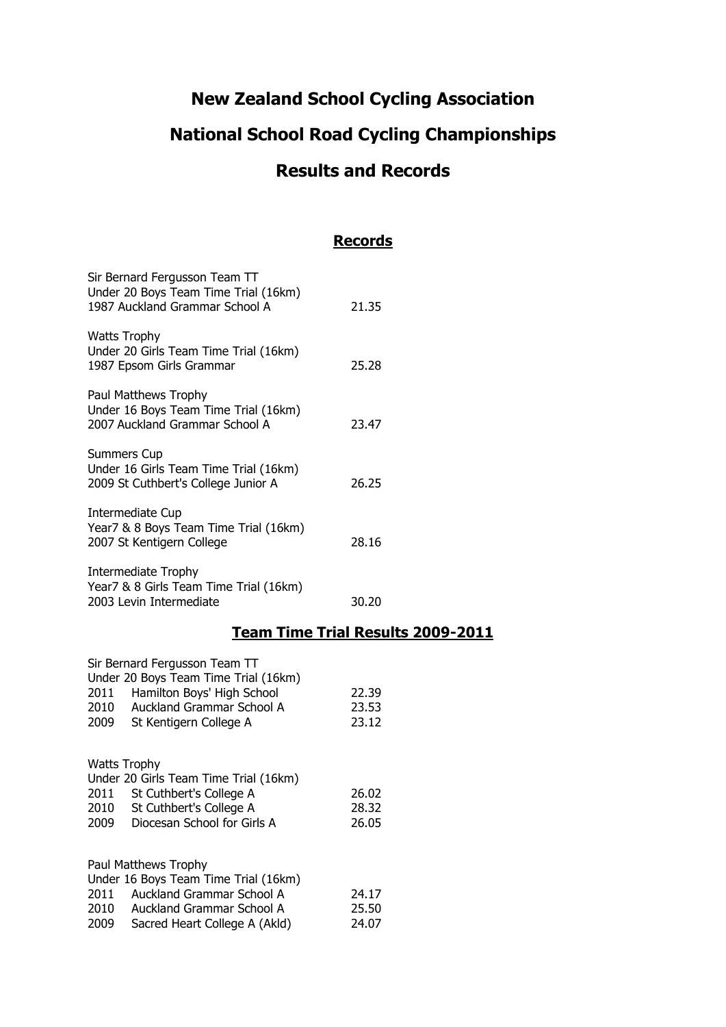### **New Zealand School Cycling Association**

### **National School Road Cycling Championships**

### **Results and Records**

### **Records**

|                                     | Sir Bernard Fergusson Team TT<br>Under 20 Boys Team Time Trial (16km)<br>1987 Auckland Grammar School A                                                              | 21.35                             |
|-------------------------------------|----------------------------------------------------------------------------------------------------------------------------------------------------------------------|-----------------------------------|
| <b>Watts Trophy</b>                 | Under 20 Girls Team Time Trial (16km)<br>1987 Epsom Girls Grammar                                                                                                    | 25.28                             |
|                                     | Paul Matthews Trophy<br>Under 16 Boys Team Time Trial (16km)<br>2007 Auckland Grammar School A                                                                       | 23.47                             |
| <b>Summers Cup</b>                  | Under 16 Girls Team Time Trial (16km)<br>2009 St Cuthbert's College Junior A                                                                                         | 26.25                             |
|                                     | Intermediate Cup<br>Year7 & 8 Boys Team Time Trial (16km)<br>2007 St Kentigern College                                                                               | 28.16                             |
|                                     | <b>Intermediate Trophy</b><br>Year7 & 8 Girls Team Time Trial (16km)<br>2003 Levin Intermediate                                                                      | 30.20                             |
|                                     |                                                                                                                                                                      | Team Time Trial Results 2009-2011 |
| 2009                                | Sir Bernard Fergusson Team TT<br>Under 20 Boys Team Time Trial (16km)<br>2011 Hamilton Boys' High School<br>2010 Auckland Grammar School A<br>St Kentigern College A | 22.39<br>23.53<br>23.12           |
| <b>Watts Trophy</b><br>2010<br>2009 | Under 20 Girls Team Time Trial (16km)<br>2011 St Cuthbert's College A<br>St Cuthbert's College A<br>Diocesan School for Girls A                                      | 26.02<br>28.32<br>26.05           |
| 2011<br>2010<br>2009                | Paul Matthews Trophy<br>Under 16 Boys Team Time Trial (16km)<br>Auckland Grammar School A<br>Auckland Grammar School A<br>Sacred Heart College A (Akld)              | 24.17<br>25.50<br>24.07           |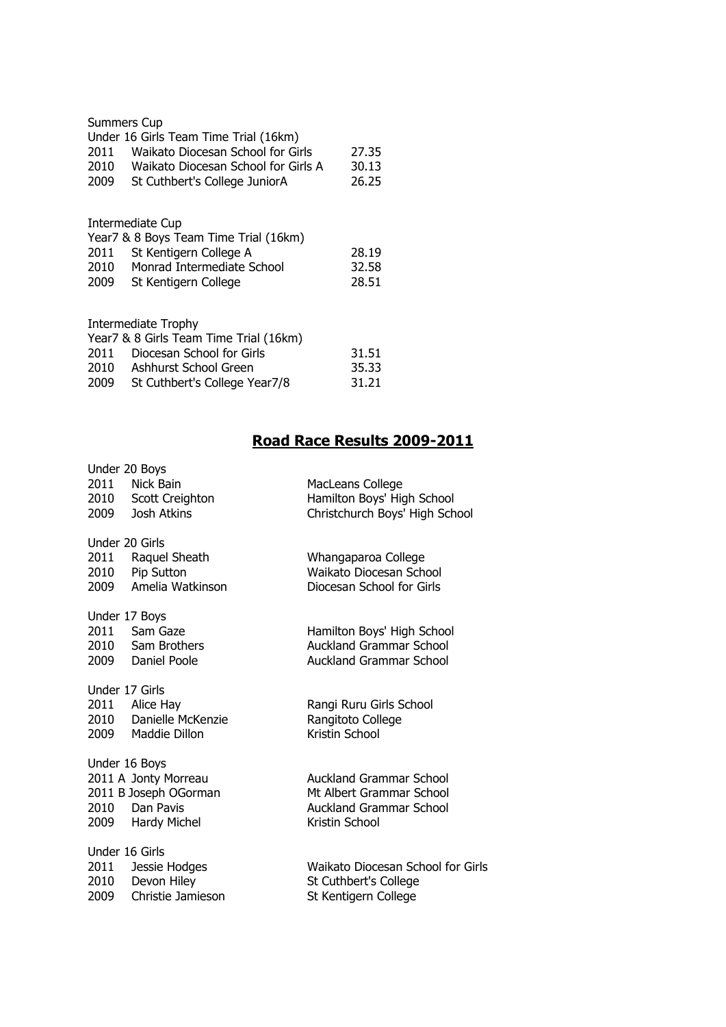| Summers Cup |                                        |       |
|-------------|----------------------------------------|-------|
|             | Under 16 Girls Team Time Trial (16km)  |       |
| 2011        | Waikato Diocesan School for Girls      | 27.35 |
| 2010        | Waikato Diocesan School for Girls A    | 30.13 |
| 2009        | St Cuthbert's College JuniorA          | 26.25 |
|             |                                        |       |
|             | Intermediate Cup                       |       |
|             | Year7 & 8 Boys Team Time Trial (16km)  |       |
| 2011        | St Kentigern College A                 | 28.19 |
| 2010        | Monrad Intermediate School             | 32.58 |
| 2009        | St Kentigern College                   | 28.51 |
|             |                                        |       |
|             | <b>Intermediate Trophy</b>             |       |
|             | Year7 & 8 Girls Team Time Trial (16km) |       |
| 2011        | Diocesan School for Girls              | 31.51 |

| 2011  | Diocesan School for Girls     | 31.51 |
|-------|-------------------------------|-------|
| 2010  | Ashhurst School Green         | 35.33 |
| 2009. | St Cuthbert's College Year7/8 | 31.21 |

### **Road Race Results 2009-2011**

| Under 20 Boys<br>2011<br><b>Nick Bain</b><br>2010 Scott Creighton<br>2009 Josh Atkins                 | MacLeans College<br>Hamilton Boys' High School<br>Christchurch Boys' High School                               |
|-------------------------------------------------------------------------------------------------------|----------------------------------------------------------------------------------------------------------------|
| Under 20 Girls<br>2011<br>Raquel Sheath<br>2010<br>Pip Sutton<br>2009<br>Amelia Watkinson             | Whangaparoa College<br>Waikato Diocesan School<br>Diocesan School for Girls                                    |
| Under 17 Boys<br>2011<br>Sam Gaze<br>2010 Sam Brothers<br>2009 Daniel Poole                           | Hamilton Boys' High School<br><b>Auckland Grammar School</b><br>Auckland Grammar School                        |
| Under 17 Girls<br>2011<br>Alice Hay<br>2010 Danielle McKenzie<br>2009 Maddie Dillon                   | Rangi Ruru Girls School<br>Rangitoto College<br>Kristin School                                                 |
| Under 16 Boys<br>2011 A Jonty Morreau<br>2011 B Joseph OGorman<br>2010 Dan Pavis<br>2009 Hardy Michel | <b>Auckland Grammar School</b><br>Mt Albert Grammar School<br><b>Auckland Grammar School</b><br>Kristin School |
| Under 16 Girls<br>2011<br>Jessie Hodges<br>2010 Devon Hiley<br>Christie Jamieson<br>2009              | Waikato Diocesan School for Girls<br>St Cuthbert's College<br>St Kentigern College                             |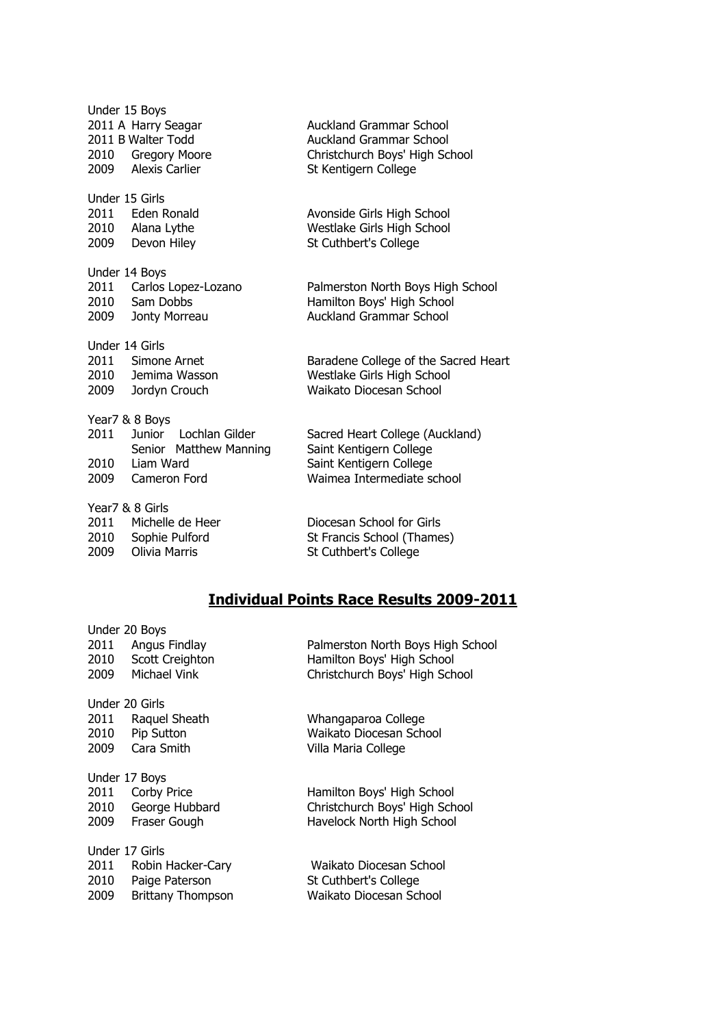| Under 15 Boys<br>2010   | 2011 A Harry Seagar<br>2011 B Walter Todd<br><b>Gregory Moore</b><br>2009 Alexis Carlier       | <b>Auckland Grammar School</b><br><b>Auckland Grammar School</b><br>Christchurch Boys' High School<br>St Kentigern College |
|-------------------------|------------------------------------------------------------------------------------------------|----------------------------------------------------------------------------------------------------------------------------|
| Under 15 Girls<br>2009  | 2011 Eden Ronald<br>2010 Alana Lythe<br>Devon Hiley                                            | Avonside Girls High School<br>Westlake Girls High School<br>St Cuthbert's College                                          |
| Under 14 Boys<br>2009   | 2011 Carlos Lopez-Lozano<br>2010 Sam Dobbs<br>Jonty Morreau                                    | Palmerston North Boys High School<br>Hamilton Boys' High School<br><b>Auckland Grammar School</b>                          |
| Under 14 Girls<br>2009  | 2011 Simone Arnet<br>2010 Jemima Wasson<br>Jordyn Crouch                                       | Baradene College of the Sacred Heart<br>Westlake Girls High School<br>Waikato Diocesan School                              |
| 2011<br>2010<br>2009    | Year7 & 8 Boys<br>Junior Lochlan Gilder<br>Senior Matthew Manning<br>Liam Ward<br>Cameron Ford | Sacred Heart College (Auckland)<br>Saint Kentigern College<br>Saint Kentigern College<br>Waimea Intermediate school        |
| Year7 & 8 Girls<br>2009 | 2011 Michelle de Heer<br>2010 Sophie Pulford<br><b>Olivia Marris</b>                           | Diocesan School for Girls<br>St Francis School (Thames)<br>St Cuthbert's College                                           |

### **Individual Points Race Results 2009-2011**

| Under 20 Boys<br>2010                  | 2011 Angus Findlay<br>Scott Creighton<br>2009 Michael Vink      | Palmerston North Boys High School<br>Hamilton Boys' High School<br>Christchurch Boys' High School |
|----------------------------------------|-----------------------------------------------------------------|---------------------------------------------------------------------------------------------------|
| Under 20 Girls<br>2011<br>2010<br>2009 | Raquel Sheath<br>Pip Sutton<br>Cara Smith                       | Whangaparoa College<br>Waikato Diocesan School<br>Villa Maria College                             |
| Under 17 Boys<br>2009                  | 2011 Corby Price<br>2010 George Hubbard<br>Fraser Gough         | Hamilton Boys' High School<br>Christchurch Boys' High School<br>Havelock North High School        |
| Under 17 Girls<br>2011<br>2010<br>2009 | Robin Hacker-Cary<br>Paige Paterson<br><b>Brittany Thompson</b> | Waikato Diocesan School<br>St Cuthbert's College<br>Waikato Diocesan School                       |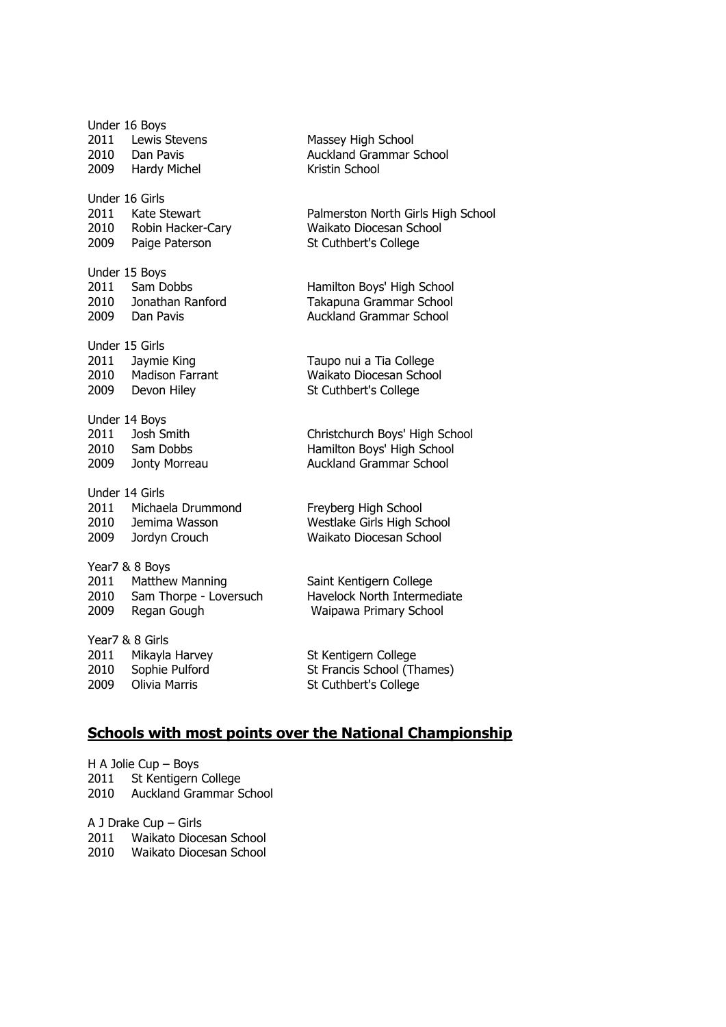| 2011<br>2010<br>2009 | Under 16 Boys<br>Lewis Stevens<br>Dan Pavis<br>Hardy Michel                       | Massey High School<br><b>Auckland Grammar School</b><br>Kristin School                         |
|----------------------|-----------------------------------------------------------------------------------|------------------------------------------------------------------------------------------------|
| 2009                 | Under 16 Girls<br>2011 Kate Stewart<br>2010 Robin Hacker-Cary<br>Paige Paterson   | Palmerston North Girls High School<br>Waikato Diocesan School<br>St Cuthbert's College         |
| 2010                 | Under 15 Boys<br>2011 Sam Dobbs<br>Jonathan Ranford<br>2009 Dan Pavis             | Hamilton Boys' High School<br>Takapuna Grammar School<br><b>Auckland Grammar School</b>        |
| 2009                 | Under 15 Girls<br>2011 Jaymie King<br>2010 Madison Farrant<br>Devon Hiley         | Taupo nui a Tia College<br>Waikato Diocesan School<br>St Cuthbert's College                    |
| 2010<br>2009         | Under 14 Boys<br>2011 Josh Smith<br>Sam Dobbs<br>Jonty Morreau                    | Christchurch Boys' High School<br>Hamilton Boys' High School<br><b>Auckland Grammar School</b> |
| 2011<br>2010<br>2009 | Under 14 Girls<br>Michaela Drummond<br>Jemima Wasson<br>Jordyn Crouch             | Freyberg High School<br>Westlake Girls High School<br>Waikato Diocesan School                  |
| 2011<br>2010<br>2009 | Year7 & 8 Boys<br><b>Matthew Manning</b><br>Sam Thorpe - Loversuch<br>Regan Gough | Saint Kentigern College<br><b>Havelock North Intermediate</b><br>Waipawa Primary School        |
| 2011<br>2010<br>2009 | Year7 & 8 Girls<br>Mikayla Harvey<br>Sophie Pulford<br><b>Olivia Marris</b>       | St Kentigern College<br>St Francis School (Thames)<br>St Cuthbert's College                    |
|                      |                                                                                   |                                                                                                |

### **Schools with most points over the National Championship**

H A Jolie Cup – Boys 2011 St Kentigern College 2010 Auckland Grammar School

A J Drake Cup – Girls 2011 Waikato Diocesan School 2010 Waikato Diocesan School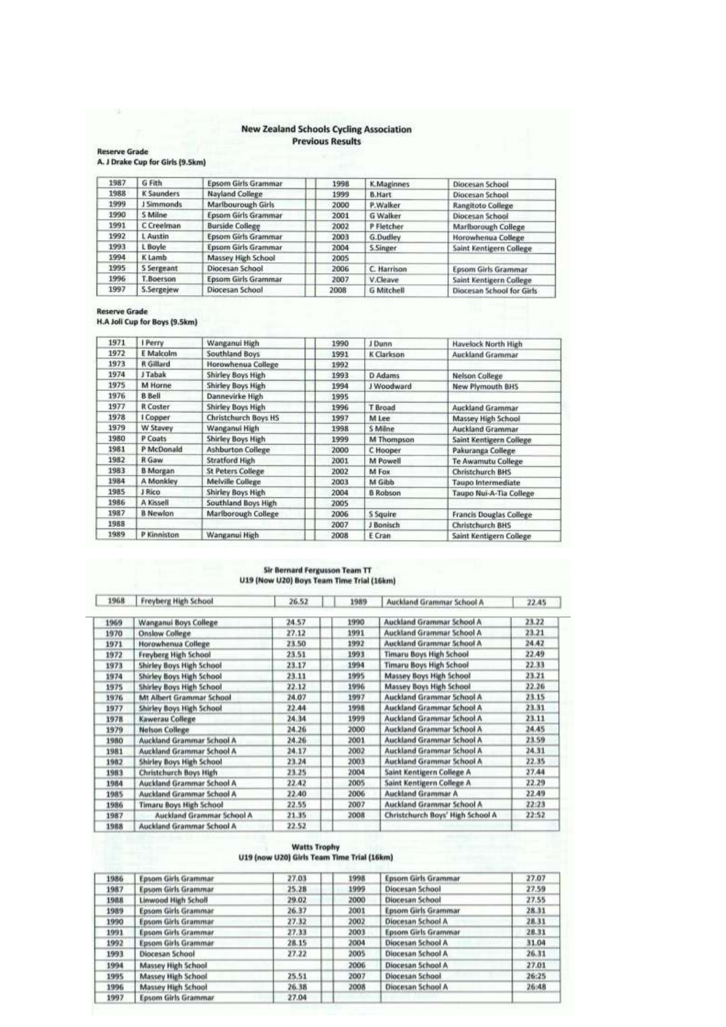#### **New Zealand Schools Cycling Association Previous Results**

# Reserve Grade<br>A. J Drake Cup for Girls (9.5km)

| 1987 | G Fith            | Epsom Girls Grammar        | 1998 | <b>K.Maginnes</b> | Diocesan School            |
|------|-------------------|----------------------------|------|-------------------|----------------------------|
| 1988 | <b>K Saunders</b> | Nayland College            | 1999 | <b>B.Hart</b>     | Diocesan School            |
| 1999 | 1 Simmonds        | Marlbourough Girls         | 2000 | P.Walker          | Rangitoto College          |
| 1990 | S Milne           | <b>Epsom Girls Grammar</b> | 2001 | <b>G Walker</b>   | Diocesan School            |
| 1991 | C Creelman        | <b>Burside College</b>     | 2002 | P Fletcher        | Marlborough College        |
| 1992 | L Austin          | <b>Epsom Girls Grammar</b> | 2003 | G.Dudley          | Horowhenua College         |
| 1993 | L Boyle           | <b>Epsom Girls Grammar</b> | 2004 | <b>S.Singer</b>   | Saint Kentigern College    |
| 1994 | K Lamb            | Massey High School         | 2005 |                   |                            |
| 1995 | S Sergeant        | Diocesan School            | 2006 | C. Harrison       | <b>Epsom Girls Grammar</b> |
| 1996 | T.Boerson         | <b>Epsom Girls Grammar</b> | 2007 | V.Cleave          | Saint Kentigern College    |
| 1997 | S.Sergejew        | Diocesan School            | 2008 | <b>G Mitchell</b> | Diocesan School for Girls  |

Reserve Grade<br>H.A Joli Cup for Boys (9.5km)

| 1971 | I Perry          | Wanganui High            | 1990 | J Dunn          | Havelock North High            |
|------|------------------|--------------------------|------|-----------------|--------------------------------|
| 1972 | E Malcolm        | Southland Boys           | 1991 | K Clarkson      | Auckland Grammar               |
| 1973 | <b>R</b> Gillard | Horowhenua College       | 1992 |                 |                                |
| 1974 | J Tabak          | Shirley Boys High        | 1993 | <b>D</b> Adams  | <b>Nelson College</b>          |
| 1975 | M Horne          | Shirley Boys High        | 1994 | J Woodward      | New Plymouth BHS               |
| 1976 | <b>B</b> Bell    | Dannevirke High          | 1995 |                 |                                |
| 1977 | R Coster         | Shirley Boys High        | 1996 | T Broad         | <b>Auckland Grammar</b>        |
| 1978 | I Copper         | Christchurch Boys HS     | 1997 | M Lee           | Massey High School             |
| 1979 | W Stavey         | Wanganui High            | 1998 | S Milne         | <b>Auckland Grammar</b>        |
| 1980 | P Coats          | Shirley Boys High        | 1999 | M Thompson      | Saint Kentigern College        |
| 1981 | P McDonald       | <b>Ashburton College</b> | 2000 | C Hooper        | Pakuranga College              |
| 1982 | R Gaw            | <b>Stratford High</b>    | 2001 | M Powell        | Te Awamutu College             |
| 1983 | <b>B</b> Morgan  | <b>St Peters College</b> | 2002 | M Fox           | <b>Christchurch BHS</b>        |
| 1984 | A Monkley        | Melville College         | 2003 | M Gibb          | <b>Taupo Intermediate</b>      |
| 1985 | J Rica           | Shirley Boys High        | 2004 | <b>B</b> Robson | Taupo Nui-A-Tia College        |
| 1986 | A Kissell        | Southland Boys High      | 2005 |                 |                                |
| 1987 | <b>B</b> Newlan  | Marlborough College      | 2006 | <b>S</b> Squire | <b>Francis Douglas College</b> |
| 1988 |                  |                          | 2007 | J Bonisch       | <b>Christchurch BHS</b>        |
| 1989 | P Kinniston      | Wanganui High            | 2008 | E Cran          | Saint Kentigern College        |

# Sir Bernard Fergusson Team TT<br>U19 (Now U20) Boys Team Time Trial (16km)

| 1968 | Freyberg High School            | 26.52 | 1989        | Auckland Grammar School A        | 22.45 |
|------|---------------------------------|-------|-------------|----------------------------------|-------|
| 1969 | Wanganui Boys College           | 24.57 | 1990        | Auckland Grammar School A        | 23.22 |
| 1970 | Onslow College                  | 27.12 | 1991        | Auckland Grammar School A        | 23.21 |
| 1971 | Horowhenua College              | 23.50 | 1992        | Auckland Grammar School A        | 24.42 |
| 1972 | Freyberg High School            | 23.51 | 1993        | Timaru Boys High School          | 22.49 |
| 1973 | <b>Shirley Boys High School</b> | 23.17 | 1994        | Timaru Boys High School          | 22.33 |
| 1974 | Shirley Boys High School        | 23.11 | 1995        | Massey Boys High School          | 23.21 |
| 1975 | <b>Shirley Boys High School</b> | 22.12 | 1996        | Massey Boys High School          | 22.26 |
| 1976 | Mt Albert Grammar School        | 24.07 | 1997        | Auckland Grammar School A        | 23.15 |
| 1977 | Shirley Boys High School        | 22.44 | 1998        | Auckland Grammar School A        | 23.31 |
| 1978 | Kawerau College                 | 24.34 | 1999        | Auckland Grammar School A        | 23.11 |
| 1979 | <b>Nelson College</b>           | 24.26 | 2000        | Auckland Grammar School A        | 24.45 |
| 1980 | Auckland Grammar School A       | 24.26 | 2001        | Auckland Grammar School A        | 23.59 |
| 1981 | Auckland Grammar School A       | 24.17 | 2002        | Auckland Grammar School A        | 24.31 |
| 1982 | Shirley Boys High School        | 23.24 | 2003        | Auckland Grammar School A        | 22.35 |
| 1983 | Christchurch Boys High          | 23.25 | 2004        | Saint Kentigern College A        | 27.44 |
| 1984 | Auckland Grammar School A       | 22.42 | 2005        | Saint Kentigern College A        | 22.29 |
| 1985 | Auckland Grammar School A       | 22.40 | 2006        | <b>Auckland Grammar A</b>        | 22.49 |
| 1986 | Timaru Boys High School         | 22.55 | 2007        | Auckland Grammar School A        | 22:23 |
| 1987 | Auckland Grammar School A       | 21.35 | <b>2008</b> | Christchurch Boys' High School A | 22:52 |
| 1988 | Auckland Grammar School A       | 22.52 |             |                                  |       |

# Watts Trophy<br>U19 (now U20) Girls Team Time Trial (16km)

| 1986 | Epsom Girls Grammar        | 27.03 | 1998 | <b>Epsom Girls Grammar</b> | 27.07 |
|------|----------------------------|-------|------|----------------------------|-------|
| 1987 | Epsom Girls Grammar        | 25.28 | 1999 | Diocesan School            | 27.59 |
| 1988 | Linwood High Scholl        | 29.02 | 2000 | Diocesan School            | 27.55 |
| 1989 | Epsom Girls Grammar        | 26.37 | 2001 | <b>Epsom Girls Grammar</b> | 28.31 |
| 1990 | Epsom Girls Grammar        | 27.32 | 2002 | Diocesan School A          | 28.31 |
| 1991 | Epsom Girls Grammar        | 27.33 | 2003 | Epsom Girls Grammar        | 28.31 |
| 1992 | Epsom Girls Grammar        | 28.15 | 2004 | Diocesan School A          | 31.04 |
| 1993 | Diocesan School            | 27.22 | 2005 | Diocesan School A          | 26.31 |
| 1994 | Massey High School         |       | 2006 | Diocesan School A          | 27.01 |
| 1995 | Massey High School         | 25.51 | 2007 | Diocesan School            | 26:25 |
| 1996 | Massey High School         | 26.38 | 2008 | Diocesan School A          | 26:48 |
| 1997 | <b>Epsom Girls Grammar</b> | 27.04 |      |                            |       |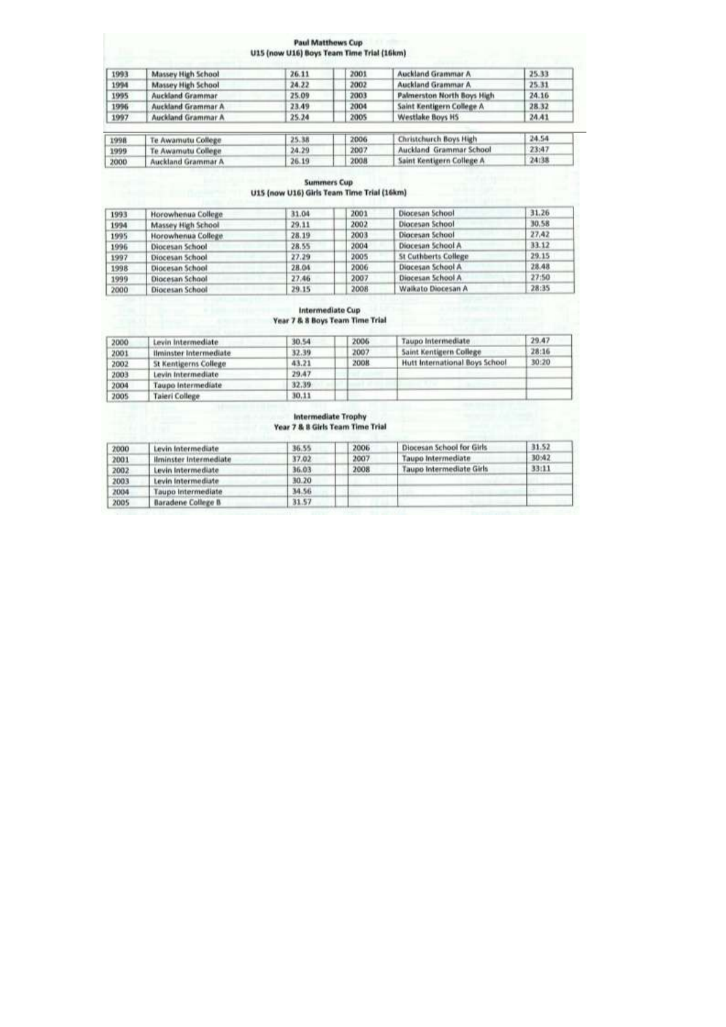| <b>Paul Matthews Cup</b><br>U15 (now U16) Boys Team Time Trial (16km) |                         |       |      |                            |       |  |
|-----------------------------------------------------------------------|-------------------------|-------|------|----------------------------|-------|--|
| 1993                                                                  | Massey High School      | 26.11 | 2001 | Auckland Grammar A         | 25.33 |  |
| 1994                                                                  | Massey High School      | 24.22 | 2002 | Auckland Grammar A         | 25.31 |  |
| 1995                                                                  | <b>Auckland Grammar</b> | 25.09 | 2003 | Palmerston North Boys High | 24.16 |  |
| 1996                                                                  | Auckland Grammar A      | 23.49 | 2004 | Saint Kentigern College A  | 28.32 |  |
| 1997                                                                  | Auckland Grammar A      | 25.24 | 2005 | Westlake Boys HS           | 24.41 |  |

| 1998 | Te Awamutu College | 25.38 | 2006 | <b>Christchurch Boys High</b> | 24.54 |
|------|--------------------|-------|------|-------------------------------|-------|
| 1999 | Te Awamutu College | 24.29 | 2007 | Auckland Grammar School       | 23:47 |
| 2000 | Auckland Grammar A | 26.19 | 2008 | Saint Kentigern College A     | 24:38 |

# Summers Cup<br>U15 (now U16) Girls Team Time Trial (16km)

| 1993 | Horowhenua College | 31.04 | 2001 | Diocesan School             | 31.26 |
|------|--------------------|-------|------|-----------------------------|-------|
| 1994 | Massey High School | 29.11 | 2002 | Diocesan School             | 30.58 |
| 1995 | Horowhenua College | 28.19 | 2003 | Diocesan School             | 27.42 |
| 1996 | Diocesan School    | 28.55 | 2004 | Diocesan School A           | 33.12 |
| 1997 | Diocesan School    | 27.29 | 2005 | <b>St Cuthberts College</b> | 29.15 |
| 1998 | Diocesan School    | 28.04 | 2006 | Diocesan School A           | 28.48 |
| 1999 | Diocesan School    | 27.46 | 2007 | Diocesan School A           | 27:50 |
| 2000 | Diocesan School    | 29.15 | 2008 | Walkato Diocesan A          | 28:35 |

# Intermediate Cup<br>Year 7 & 8 Boys Team Time Trial

| 2000 | Levin Intermediate            | 30.54 | 2006 | Taupo Intermediate             | 29.47 |
|------|-------------------------------|-------|------|--------------------------------|-------|
| 2001 | <b>Ilminster Intermediate</b> | 32.39 | 2007 | Saint Kentigern College        | 28:16 |
| 2002 | <b>St Kentigerns College</b>  | 43.21 | 2008 | Hutt International Boys School | 30:20 |
| 2003 | Levin Intermediate            | 29.47 |      |                                |       |
| 2004 | Taupo Intermediate            | 32.39 |      |                                |       |
| 2005 | Taieri College                | 30.11 |      |                                |       |

# Intermediate Trophy<br>Year 7 & 8 Girls Team Time Trial

| 2000 | Levin Intermediate            | 36.55 | 2006 | Diocesan School for Girls | 31.52 |
|------|-------------------------------|-------|------|---------------------------|-------|
| 2001 | <b>Ilminster Intermediate</b> | 37.02 | 2007 | Taupo Intermediate        | 30:42 |
| 2002 | Levin Intermediate            | 36.03 | 2008 | Taupo Intermediate Girls  | 33:11 |
| 2003 | Levin Intermediate            | 30.20 |      |                           |       |
| 2004 | Taupo Intermediate            | 34.56 |      |                           |       |
| 2005 | Baradene College B            | 31.57 |      |                           |       |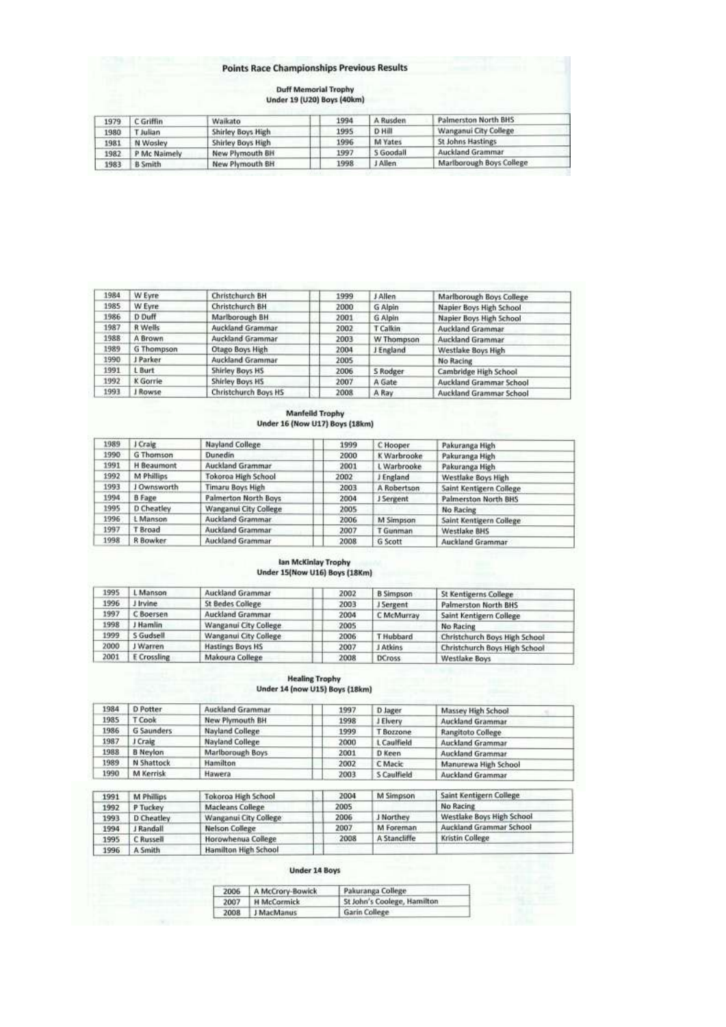### **Points Race Championships Previous Results**

### **Duff Memorial Trophy**

| Under 19 (U20) Boys (40km) |  |  |  |
|----------------------------|--|--|--|
|                            |  |  |  |

| 1979 | C Griffin      | Waikato           | 1994 | A Rusden  | Palmerston North BHS     |
|------|----------------|-------------------|------|-----------|--------------------------|
| 1980 | l' Julian      | Shirley Boys High | 1995 | D Hill    | Wanganui City College    |
| 1981 | N Wosley       | Shirley Boys High | 1996 | M Yates   | <b>St Johns Hastings</b> |
| 1982 | P Mc Naimely   | New Plymouth BH   | 1997 | 5 Goodall | <b>Auckland Grammar</b>  |
| 1983 | <b>B</b> Smith | New Plymouth BH   | 1998 | J Allen   | Marlborough Boys College |

| 1984 | W Eyre     | Christchurch BH      | 1999 | <b>J</b> Allen | Marlborough Boys College |
|------|------------|----------------------|------|----------------|--------------------------|
| 1985 | W Eyre     | Christchurch BH      | 2000 | G Alpin        | Napier Boys High School  |
| 1986 | D Duff     | Marlborough BH       | 2001 | G Alpin        | Napier Boys High School  |
| 1987 | R Wells    | Auckland Grammar     | 2002 | T Callicin     | <b>Auckland Grammar</b>  |
| 1988 | A Brown    | Auckland Grammar     | 2003 | W Thompson     | <b>Auckland Grammar</b>  |
| 1989 | G Thompson | Otago Boys High      | 2004 | J England      | Westlake Boys High       |
| 1990 | J Parker   | Auckland Grammar     | 2005 |                | No Racing                |
| 1991 | L Burt     | Shirley Boys HS      | 2006 | S Rodger       | Cambridge High School    |
| 1992 | K Gorrie   | Shirley Boys HS      | 2007 | A Gate         | Auckland Grammar School  |
| 1993 | I Rowse    | Christchurch Bays HS | 2008 | A Ray          | Auckland Grammar School  |

# Manfelld Trophy<br>Under 16 (Now U17) Boys (18km)

| 1989 | J Craig       | Nayland College             | 1999 | C Hooper    | Pakuranga High              |
|------|---------------|-----------------------------|------|-------------|-----------------------------|
| 1990 | G Thomson     | Dunedin                     | 2000 | K Warbrooke | Pakuranga High              |
| 1991 | H Beaumont    | Auckland Grammar            | 2001 | L Warbrooke | Pakuranga High              |
| 1992 | M Phillips    | Tokoroa High School         | 2002 | J England   | Westlake Boys High          |
| 1993 | J Ownsworth   | Timaru Boys High            | 2003 | A Robertson | Saint Kentigern College     |
| 1994 | <b>B</b> Fage | <b>Palmerton North Boys</b> | 2004 | J Sergent   | <b>Palmerston North BHS</b> |
| 1995 | D Cheatley    | Wanganui City College       | 2005 |             | No Racing                   |
| 1996 | L Manson      | Auckland Grammar.           | 2006 | M Simpson   | Saint Kentigern College     |
| 1997 | T Broad       | Auckland Grammar            | 2007 | T Gunman    | Westlake BHS                |
| 1998 | R Bowker      | Auckland Grammar            | 2008 | G Scott     | Auckland Grammar            |

# lan McKinlay Trophy<br>Under 15(Now U16) Boys (18Km)

| 1995 | L Manson    | <b>Auckland Grammar</b> | 2002 | <b>B</b> Simpson | St Kentigerns College         |
|------|-------------|-------------------------|------|------------------|-------------------------------|
| 1996 | J Irvine    | St Bedes College        | 2003 | J Sergent        | Palmerston North BHS          |
| 1997 | C Boersen   | <b>Auckland Grammar</b> | 2004 | C McMurray       | Saint Kentigern College       |
| 1998 | J Hamlin    | Wanganui City College   | 2005 |                  | No Racing                     |
| 1999 | S Gudsell   | Wanganui City College   | 2006 | <b>T</b> Hubbard | Christchurch Boys High School |
| 2000 | J Warren    | <b>Hastings Boys HS</b> | 2007 | J Atkins         | Christchurch Boys High School |
| 2001 | E Crossling | Makoura College         | 2008 | <b>DCross</b>    | Westlake Boys                 |

# Healing Trophy<br>Under 14 (now U15) Boys (18km)

| 1984 | D Potter          | Auckland Grammar | 1997 | D Jager     | Massey High School      |
|------|-------------------|------------------|------|-------------|-------------------------|
| 1985 | T Cook            | New Plymouth BH  | 1998 | J Elvery    | <b>Auckland Grammar</b> |
| 1986 | <b>G</b> Saunders | Nayland College  | 1999 | T Bozzone   | Rangitoto College       |
| 1987 | J Craig           | Nayland College  | 2000 | L Caulfield | <b>Auckland Grammar</b> |
| 1988 | <b>B</b> Neylon   | Marlborough Boys | 2001 | D Keen      | Auckland Grammar        |
| 1989 | N Shattock        | <b>Hamilton</b>  | 2002 | C Macic     | Manurewa High School    |
| 1990 | M Kerrisk         | Hawera           | 2003 | S Caulfield | Auckland Grammar        |

| 1991 | M Phillips | <b>Tokoroa High School</b> | 2004 | M Simpson    | Saint Kentigern College   |
|------|------------|----------------------------|------|--------------|---------------------------|
| 1992 | P Tuckey   | Macleans College           | 2005 |              | No Racing                 |
| 1993 | D Cheatley | Wanganui City College      | 2006 | J Northey    | Westlake Boys High School |
| 1994 | Randall    | Nelson College             | 2007 | M Foreman    | Auckland Grammar School   |
| 1995 | C Russell  | Horowhenua College         | 2008 | A Stancliffe | Kristin College           |
| 1996 | A Smith    | Hamilton High School       |      |              |                           |

#### Under 14 Boys

| 2006 | A McCrory-Bowick | Pakuranga College           |
|------|------------------|-----------------------------|
| 2007 | H McCormick      | St John's Coolege, Hamilton |
| 2008 | J MacManus       | <b>Garin College</b>        |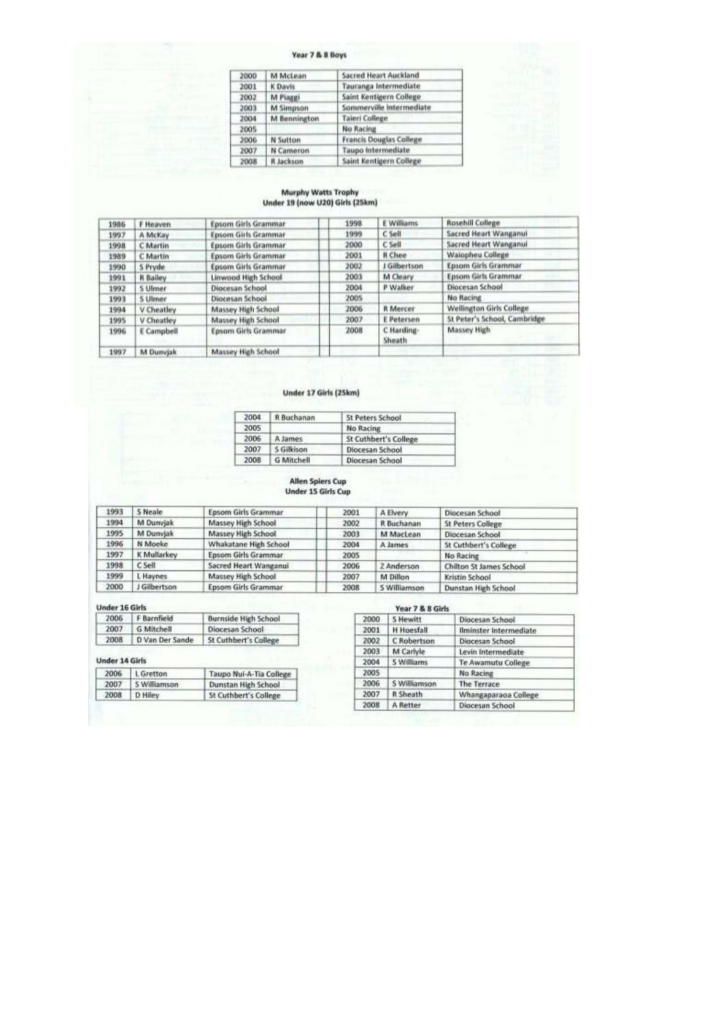#### Year 7 & 8 Boys

| 2000 | M McLean     | <b>Sacred Heart Auckland</b> |
|------|--------------|------------------------------|
| 2001 | K Davis      | Tauranga Intermediate        |
| 2002 | M Piaggi     | Saint Kentigern College      |
| 2003 | M Simpson    | Sommerville Intermediate     |
| 2004 | M Bennington | <b>Taleri College</b>        |
| 2005 |              | No Racing                    |
| 2006 | N Sutton     | Francis Douglas College      |
| 2007 | N Cameron    | Taupo Intermediate           |
| 2008 | R Jackson    | Saint Kentigern College      |

# Murphy Watts Trophy<br>Under 19 (now U20) Girls (25km)

| 1986 | F Heaven       | <b>Epsom Girls Grammar</b> | 1998 | E Williams           | Rosehill College                |
|------|----------------|----------------------------|------|----------------------|---------------------------------|
| 1997 | A McKay        | Epsom Girls Grammar        | 1999 | C Sell               | <b>Sacred Heart Wanganui</b>    |
| 1998 | C Martin       | Epsom Girls Grammar        | 2000 | C Sell               | Sacred Heart Wanganui           |
| 1989 | C Martin       | Epsom Girls Grammar        | 2001 | <b>R</b> Chee        | Waiopheu College                |
| 1990 | S Pryde        | Epsom Girls Grammar        | 2002 | J Gilbertson         | <b>Epsom Girls Grammar</b>      |
| 1991 | R Bailey       | Linwood High School        | 2003 | M Cleary             | <b>Epsom Girls Grammar</b>      |
| 1992 | <b>S</b> Ulmer | Diocesan School            | 2004 | P Walker             | Diocesan School                 |
| 1993 | <b>S</b> Ulmer | Diocesan School            | 2005 |                      | <b>No Racing</b>                |
| 1994 | V Cheatley     | Massey High School         | 2006 | R Mercer             | <b>Wellington Girls College</b> |
| 1995 | V Cheatley     | Massey High School         | 2007 | <i>E Petersen</i>    | St Peter's School, Cambridge    |
| 1996 | E Campbell     | <b>Epsom Girls Grammar</b> | 2008 | C Harding-<br>Sheath | Massey High                     |
| 1997 | M Dunviak      | Massey High School         |      |                      |                                 |

#### Under 17 Girls (25km)

| 2004        | R Buchanan        | <b>St Peters School</b>      |  |
|-------------|-------------------|------------------------------|--|
| 2005        |                   | No Racing                    |  |
| 2006        | A James           | <b>St Cuthbert's College</b> |  |
| 2007        | <b>S</b> Gilkison | Diocesan School              |  |
| <b>2008</b> | <b>G</b> Mitchell | Diocesan School              |  |

# Allen Spiers Cup<br>Under 15 Girls Cup

| 1993 | S Neale      | Epsom Girls Grammar   | 2001 | A Elvery     | Diocesan School          |
|------|--------------|-----------------------|------|--------------|--------------------------|
| 1994 | M Dunvjak    | Massey High School    | 2002 | R Buchanan   | <b>St Peters College</b> |
| 1995 | M Dunviak    | Massey High School    | 2003 | M MacLean    | Diocesan School          |
| 1996 | N Moeke      | Whakatane High School | 2004 | A James      | St Cuthbert's College    |
| 1997 | K Mullarkey  | Epsom Girls Grammar   | 2005 |              | No Racing                |
| 1998 | C Sell       | Sacred Heart Wanganui | 2006 | Z Anderson   | Chilton St James School  |
| 1999 | L Haynes     | Massey High School    | 2007 | M Dillon     | Kristin School           |
| 2000 | J Gilbertson | Epsom Girls Grammar   | 2008 | 5 Williamson | Dunstan High School      |

#### Under 16 Girls

| 2006 | F Barnfield     | <b>Burnside High School</b>  |
|------|-----------------|------------------------------|
| 2007 | G Mitchell      | Diocesan School              |
| 2008 | D Van Der Sande | <b>St Cuthbert's College</b> |

#### Under 14 Girls

|                  | 2006   L Gretton | Taupo Nui-A-Tia College |
|------------------|------------------|-------------------------|
| 2007             | 5 Williamson     | Dunstan High School     |
| 200 <sub>8</sub> | D Hiley          | St Cuthbert's College   |

#### Year 7 & 8 Girls

| 2000 | <b>S Hewitt</b>   | Diocesan School           |  |
|------|-------------------|---------------------------|--|
| 2001 | <b>H</b> Hoesfall | Ilminster Intermediate    |  |
| 2002 | C Robertson       | Diocesan School           |  |
| 2003 | M Carlyle         | Levin Intermediate        |  |
| 2004 | 5 Williams        | <b>Te Awamutu College</b> |  |
| 2005 |                   | No Racing                 |  |
| 2006 | S Williamson      | The Terrace               |  |
| 2007 | R Sheath          | Whangaparaoa College      |  |
| 2008 | A Retter          | Diocesan School           |  |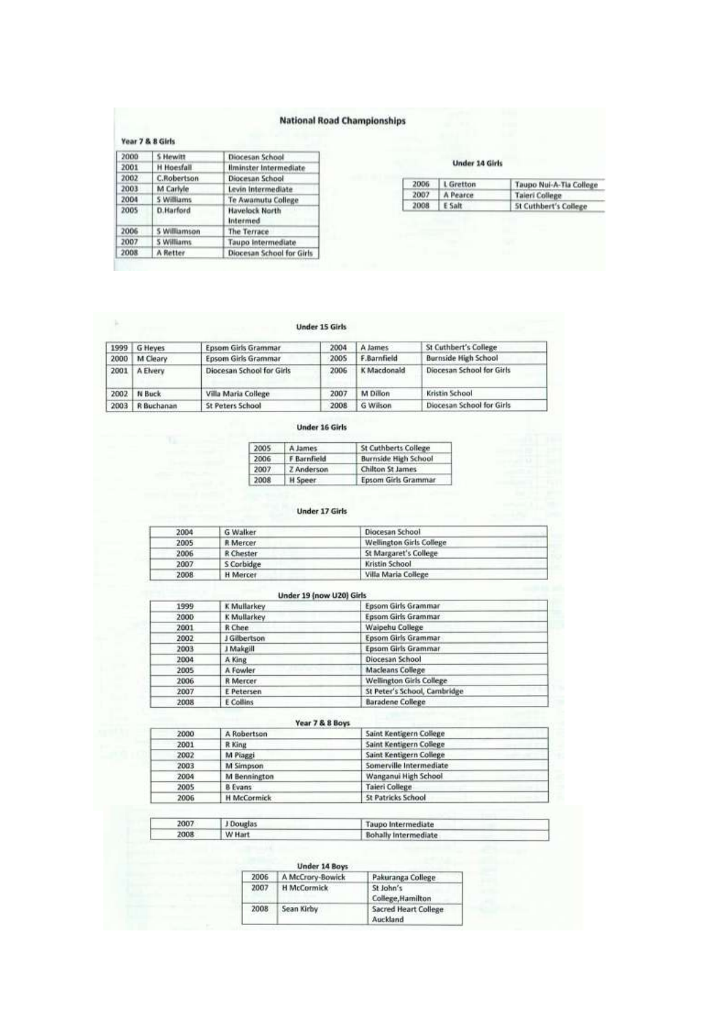### **National Road Championships**

#### Year 7 & 8 Girls

| 2000 | <b>S</b> Hewitt    | Diocesan School                   |
|------|--------------------|-----------------------------------|
| 2001 | <b>H</b> Hoesfall  | Ilminster Intermediate            |
| 2002 | <b>C.Robertson</b> | Diocesan School                   |
| 2003 | M Carlyle          | Levin Intermediate                |
| 2004 | 5 Williams         | Te Awamutu College                |
| 2005 | <b>D.Harford</b>   | <b>Havelock North</b><br>Intermed |
| 2006 | 5 Williamson       | The Terrace                       |
| 2007 | 5 Williams         | Taupo Intermediate                |
| 2008 | A Retter           | Diocesan School for Girls         |

#### **Under 14 Girls**

| 2006 | L Gretton | Taupo Nui-A-Tia College |
|------|-----------|-------------------------|
| 2007 | A Pearce  | <b>Taieri College</b>   |
| 2008 | E Salt    | 5t Cuthbert's College   |

#### **Under 15 Girls**

|      | 1999 G Heves      | Epsom Girls Grammar       | 2004 | A James         | St Cuthbert's College       |
|------|-------------------|---------------------------|------|-----------------|-----------------------------|
| 2000 | M Cleary          | Epsom Girls Grammar       | 2005 | F.Barnfield     | <b>Burnside High School</b> |
| 2001 | A Elvery          | Diocesan School for Girls | 2006 | K Macdonald     | Diocesan School for Girls   |
|      | 2002   N Buck     | Villa Maria College       | 2007 | <b>M</b> Dillon | Kristin School              |
|      | 2003   R Buchanan | <b>St Peters School</b>   | 2008 | G Wilson        | Diocesan School for Girls   |

#### Under 16 Girls

| 2005 | <b>St Cuthberts College</b><br>A James |                             |
|------|----------------------------------------|-----------------------------|
| 2006 | F Barnfield                            | <b>Burnside High School</b> |
| 2007 | Z Anderson                             | Chilton St James            |
| 2008 | H Speer                                | <b>Epsom Girls Grammar</b>  |

#### Under 17 Girls

| 2004 | <b>G Walker</b> | Diocesan School                 |  |
|------|-----------------|---------------------------------|--|
| 2005 | R Mercer        | <b>Wellington Girls College</b> |  |
| 2006 | R Chester       | St Margaret's College           |  |
| 2007 | S Corbidge      | Kristin School                  |  |
| 2008 | <b>H</b> Mercer | Villa Maria College             |  |

|      |              | Under 19 (now U20) Girls        |  |
|------|--------------|---------------------------------|--|
| 1999 | K Mullarkey  | <b>Epsom Girls Grammar</b>      |  |
| 2000 | K Mullarkey  | <b>Epsom Girls Grammar</b>      |  |
| 2001 | R Chee       | Waipehu College                 |  |
| 2002 | J Gilbertson | <b>Epsom Girls Grammar</b>      |  |
| 2003 | J Makgill    | <b>Epsom Girls Grammar</b>      |  |
| 2004 | A King       | Diocesan School                 |  |
| 2005 | A Fowler     | Macleans College                |  |
| 2006 | R Mercer     | <b>Wellington Girls College</b> |  |
| 2007 | E Petersen   | St Peter's School, Cambridge    |  |
| 2008 | E Collins    | <b>Baradene College</b>         |  |
|      |              |                                 |  |

|      |                    | Year 7 & 8 Boys           |  |
|------|--------------------|---------------------------|--|
| 2000 | A Robertson        | Saint Kentigern College   |  |
| 2001 | R King             | Saint Kentigern College   |  |
| 2002 | M Piaggi           | Saint Kentigern College   |  |
| 2003 | M Simpson          | Somerville Intermediate   |  |
| 2004 | M Bennington       | Wanganui High School      |  |
| 2005 | <b>B</b> Evans     | <b>Taieri College</b>     |  |
| 2006 | <b>H</b> McCormick | <b>St Patricks School</b> |  |

| 200  | Douglas | Taupo Intermediate   |  |
|------|---------|----------------------|--|
| 2008 | W Hart  | Bohally Intermediate |  |

#### Under 14 Boys

| 2006 | A McCrory-Bowick   | Pakuranga College                |  |
|------|--------------------|----------------------------------|--|
| 2007 | <b>H McCormick</b> | St John's<br>College, Hamilton   |  |
| 2008 | Sean Kirby         | Sacred Heart College<br>Auckland |  |